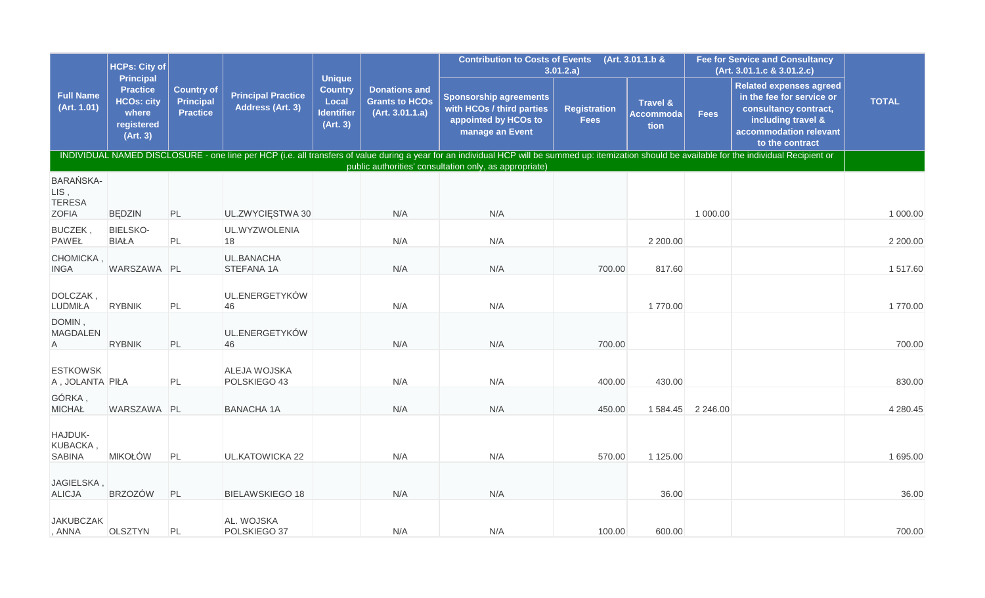|                                           | <b>HCPs: City of</b>                                                                        |                                                          |                                               | <b>Unique</b>                                            |                                                                  | Contribution to Costs of Events (Art. 3.01.1.b &                                                                                                                                                                                                             | 3.01.2.a)                          |                                          |                   | <b>Fee for Service and Consultancy</b><br>(Art. 3.01.1.c & 3.01.2.c)                                                                                    |              |
|-------------------------------------------|---------------------------------------------------------------------------------------------|----------------------------------------------------------|-----------------------------------------------|----------------------------------------------------------|------------------------------------------------------------------|--------------------------------------------------------------------------------------------------------------------------------------------------------------------------------------------------------------------------------------------------------------|------------------------------------|------------------------------------------|-------------------|---------------------------------------------------------------------------------------------------------------------------------------------------------|--------------|
| <b>Full Name</b><br>(Art. 1.01)           | <b>Principal</b><br><b>Practice</b><br><b>HCOs: city</b><br>where<br>registered<br>(Art. 3) | <b>Country of</b><br><b>Principal</b><br><b>Practice</b> | <b>Principal Practice</b><br>Address (Art. 3) | <b>Country</b><br>Local<br><b>Identifier</b><br>(Art. 3) | <b>Donations and</b><br><b>Grants to HCOs</b><br>(Art. 3.01.1.a) | <b>Sponsorship agreements</b><br>with HCOs / third parties<br>appointed by HCOs to<br>manage an Event                                                                                                                                                        | <b>Registration</b><br><b>Fees</b> | <b>Travel &amp;</b><br>Accommoda<br>tion | <b>Fees</b>       | <b>Related expenses agreed</b><br>in the fee for service or<br>consultancy contract,<br>including travel &<br>accommodation relevant<br>to the contract | <b>TOTAL</b> |
|                                           |                                                                                             |                                                          |                                               |                                                          |                                                                  | INDIVIDUAL NAMED DISCLOSURE - one line per HCP (i.e. all transfers of value during a year for an individual HCP will be summed up: itemization should be available for the individual Recipient or<br>public authorities' consultation only, as appropriate) |                                    |                                          |                   |                                                                                                                                                         |              |
| <b>BARAŃSKA-</b><br>LIS,<br><b>TERESA</b> |                                                                                             |                                                          |                                               |                                                          |                                                                  |                                                                                                                                                                                                                                                              |                                    |                                          |                   |                                                                                                                                                         |              |
| <b>ZOFIA</b>                              | <b>BEDZIN</b>                                                                               | PL                                                       | UL.ZWYCIĘSTWA 30                              |                                                          | N/A                                                              | N/A                                                                                                                                                                                                                                                          |                                    |                                          | 1 000.00          |                                                                                                                                                         | 1 000.00     |
| BUCZEK,<br><b>PAWEŁ</b>                   | <b>BIELSKO-</b><br><b>BIAŁA</b>                                                             | PL                                                       | UL.WYZWOLENIA<br>18                           |                                                          | N/A                                                              | N/A                                                                                                                                                                                                                                                          |                                    | 2 200.00                                 |                   |                                                                                                                                                         | 2 200.00     |
| CHOMICKA,<br><b>INGA</b>                  | WARSZAWA PL                                                                                 |                                                          | UL.BANACHA<br>STEFANA 1A                      |                                                          | N/A                                                              | N/A                                                                                                                                                                                                                                                          | 700.00                             | 817.60                                   |                   |                                                                                                                                                         | 1517.60      |
| DOLCZAK,<br>LUDMIŁA                       | <b>RYBNIK</b>                                                                               | PL                                                       | UL.ENERGETYKÓW<br>46                          |                                                          | N/A                                                              | N/A                                                                                                                                                                                                                                                          |                                    | 1770.00                                  |                   |                                                                                                                                                         | 1770.00      |
| DOMIN,<br><b>MAGDALEN</b><br>A            | <b>RYBNIK</b>                                                                               | PL                                                       | UL.ENERGETYKÓW<br>46                          |                                                          | N/A                                                              | N/A                                                                                                                                                                                                                                                          | 700.00                             |                                          |                   |                                                                                                                                                         | 700.00       |
| <b>ESTKOWSK</b><br>A, JOLANTA PIŁA        |                                                                                             | PL                                                       | ALEJA WOJSKA<br>POLSKIEGO 43                  |                                                          | N/A                                                              | N/A                                                                                                                                                                                                                                                          | 400.00                             | 430.00                                   |                   |                                                                                                                                                         | 830.00       |
| GÓRKA,<br><b>MICHAŁ</b>                   | WARSZAWA PL                                                                                 |                                                          | <b>BANACHA 1A</b>                             |                                                          | N/A                                                              | N/A                                                                                                                                                                                                                                                          | 450.00                             |                                          | 1 584.45 2 246.00 |                                                                                                                                                         | 4 280.45     |
| HAJDUK-<br>KUBACKA,<br><b>SABINA</b>      | <b>MIKOŁÓW</b>                                                                              | PL                                                       | <b>UL.KATOWICKA 22</b>                        |                                                          | N/A                                                              | N/A                                                                                                                                                                                                                                                          | 570.00                             | 1 125.00                                 |                   |                                                                                                                                                         | 1 695.00     |
| JAGIELSKA,<br><b>ALICJA</b>               | <b>BRZOZÓW</b>                                                                              | PL                                                       | <b>BIELAWSKIEGO 18</b>                        |                                                          | N/A                                                              | N/A                                                                                                                                                                                                                                                          |                                    | 36.00                                    |                   |                                                                                                                                                         | 36.00        |
| <b>JAKUBCZAK</b><br>, ANNA                | <b>OLSZTYN</b>                                                                              | PL                                                       | AL. WOJSKA<br>POLSKIEGO 37                    |                                                          | N/A                                                              | N/A                                                                                                                                                                                                                                                          | 100.00                             | 600.00                                   |                   |                                                                                                                                                         | 700.00       |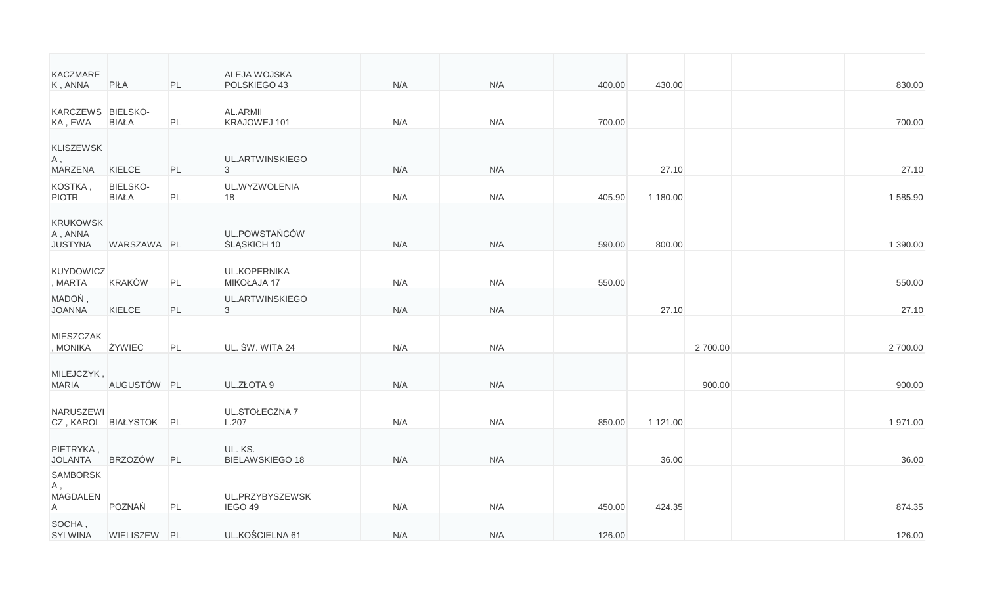| KACZMARE<br>K, ANNA                           | PIŁA                            | PL | ALEJA WOJSKA<br>POLSKIEGO 43        | N/A | N/A | 400.00 | 430.00   |         | 830.00   |
|-----------------------------------------------|---------------------------------|----|-------------------------------------|-----|-----|--------|----------|---------|----------|
| KARCZEWS BIELSKO-<br>KA, EWA                  | <b>BIAŁA</b>                    | PL | AL.ARMII<br>KRAJOWEJ 101            | N/A | N/A | 700.00 |          |         | 700.00   |
| <b>KLISZEWSK</b><br>A,<br><b>MARZENA</b>      | KIELCE                          | PL | UL.ARTWINSKIEGO<br>3                | N/A | N/A |        | 27.10    |         | 27.10    |
| KOSTKA,<br><b>PIOTR</b>                       | <b>BIELSKO-</b><br><b>BIAŁA</b> | PL | UL.WYZWOLENIA<br>18                 | N/A | N/A | 405.90 | 1 180.00 |         | 1585.90  |
| <b>KRUKOWSK</b><br>A, ANNA<br><b>JUSTYNA</b>  | WARSZAWA PL                     |    | UL.POWSTAŃCÓW<br><b>ŚLĄSKICH 10</b> | N/A | N/A | 590.00 | 800.00   |         | 1 390.00 |
| <b>KUYDOWICZ</b><br>, MARTA                   | <b>KRAKÓW</b>                   | PL | UL.KOPERNIKA<br>MIKOŁAJA 17         | N/A | N/A | 550.00 |          |         | 550.00   |
| MADOŃ,<br><b>JOANNA</b>                       | KIELCE                          | PL | UL.ARTWINSKIEGO<br>$\overline{3}$   | N/A | N/A |        | 27.10    |         | 27.10    |
| <b>MIESZCZAK</b><br>, MONIKA                  | ŻYWIEC                          | PL | UL. ŚW. WITA 24                     | N/A | N/A |        |          | 2700.00 | 2700.00  |
| MILEJCZYK,<br><b>MARIA</b>                    | AUGUSTÓW PL                     |    | UL.ZŁOTA 9                          | N/A | N/A |        |          | 900.00  | 900.00   |
| NARUSZEWI                                     | CZ, KAROL BIAŁYSTOK PL          |    | UL.STOŁECZNA 7<br>L.207             | N/A | N/A | 850.00 | 1 121.00 |         | 1971.00  |
| PIETRYKA,<br><b>JOLANTA</b>                   | <b>BRZOZÓW</b>                  | PL | UL. KS.<br><b>BIELAWSKIEGO 18</b>   | N/A | N/A |        | 36.00    |         | 36.00    |
| <b>SAMBORSK</b><br>Α,<br><b>MAGDALEN</b><br>A | POZNAŃ                          | PL | UL.PRZYBYSZEWSK<br>IEGO 49          | N/A | N/A | 450.00 | 424.35   |         | 874.35   |
| SOCHA,<br><b>SYLWINA</b>                      | WIELISZEW PL                    |    | UL.KOŚCIELNA 61                     | N/A | N/A | 126.00 |          |         | 126.00   |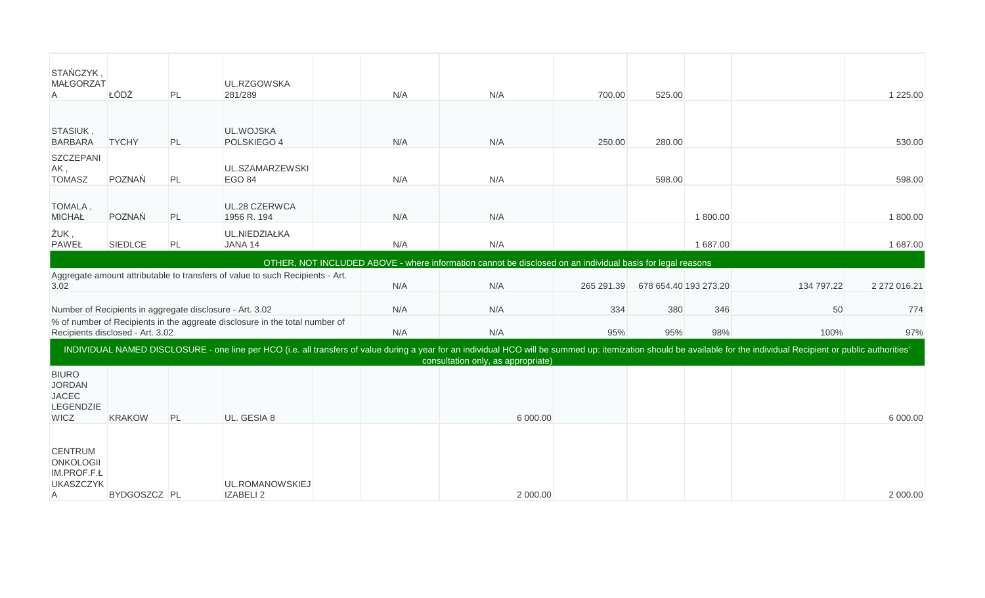| STAŃCZYK,<br><b>MAŁGORZAT</b><br>A                                        | ŁÓDŹ                             | PL | UL.RZGOWSKA<br>281/289                                                        | N/A | N/A                                                                                                                                                                                                                                                          | 700.00     | 525.00                |          |            | 1 2 2 5 . 0 0 |
|---------------------------------------------------------------------------|----------------------------------|----|-------------------------------------------------------------------------------|-----|--------------------------------------------------------------------------------------------------------------------------------------------------------------------------------------------------------------------------------------------------------------|------------|-----------------------|----------|------------|---------------|
| STASIUK,<br><b>BARBARA</b>                                                | <b>TYCHY</b>                     | PL | UL.WOJSKA<br>POLSKIEGO 4                                                      | N/A | N/A                                                                                                                                                                                                                                                          | 250.00     | 280.00                |          |            | 530.00        |
| SZCZEPANI<br>AK,<br><b>TOMASZ</b>                                         | POZNAŃ                           | PL | UL.SZAMARZEWSKI<br><b>EGO 84</b>                                              | N/A | N/A                                                                                                                                                                                                                                                          |            | 598.00                |          |            | 598.00        |
| TOMALA,<br><b>MICHAŁ</b>                                                  | POZNAŃ                           | PL | UL.28 CZERWCA<br>1956 R. 194                                                  | N/A | N/A                                                                                                                                                                                                                                                          |            |                       | 1800.00  |            | 1 800.00      |
| ŻUK,<br><b>PAWEŁ</b>                                                      | <b>SIEDLCE</b>                   | PL | UL.NIEDZIAŁKA<br>JANA 14                                                      | N/A | N/A                                                                                                                                                                                                                                                          |            |                       | 1 687.00 |            | 1 687.00      |
|                                                                           |                                  |    |                                                                               |     | OTHER, NOT INCLUDED ABOVE - where information cannot be disclosed on an individual basis for legal reasons                                                                                                                                                   |            |                       |          |            |               |
| 3.02                                                                      |                                  |    | Aggregate amount attributable to transfers of value to such Recipients - Art. | N/A | N/A                                                                                                                                                                                                                                                          | 265 291.39 | 678 654.40 193 273.20 |          | 134 797.22 | 2 272 016.21  |
|                                                                           |                                  |    | Number of Recipients in aggregate disclosure - Art. 3.02                      | N/A | N/A                                                                                                                                                                                                                                                          | 334        | 380                   | 346      | 50         | 774           |
|                                                                           | Recipients disclosed - Art. 3.02 |    | % of number of Recipients in the aggreate disclosure in the total number of   | N/A | N/A                                                                                                                                                                                                                                                          | 95%        | 95%                   | 98%      | 100%       | 97%           |
|                                                                           |                                  |    |                                                                               |     | INDIVIDUAL NAMED DISCLOSURE - one line per HCO (i.e. all transfers of value during a year for an individual HCO will be summed up: itemization should be available for the individual Recipient or public authorities'<br>consultation only, as appropriate) |            |                       |          |            |               |
| <b>BIURO</b><br><b>JORDAN</b><br><b>JACEC</b><br>LEGENDZIE<br><b>WICZ</b> | <b>KRAKOW</b>                    | PL | UL. GESIA 8                                                                   |     | 6 000.00                                                                                                                                                                                                                                                     |            |                       |          |            | 6 000.00      |
| <b>CENTRUM</b><br>ONKOLOGII<br>IM.PROF.F.Ł<br><b>UKASZCZYK</b><br>A       | BYDGOSZCZ PL                     |    | UL.ROMANOWSKIEJ<br>IZABELI 2                                                  |     | 2 000.00                                                                                                                                                                                                                                                     |            |                       |          |            | 2 000.00      |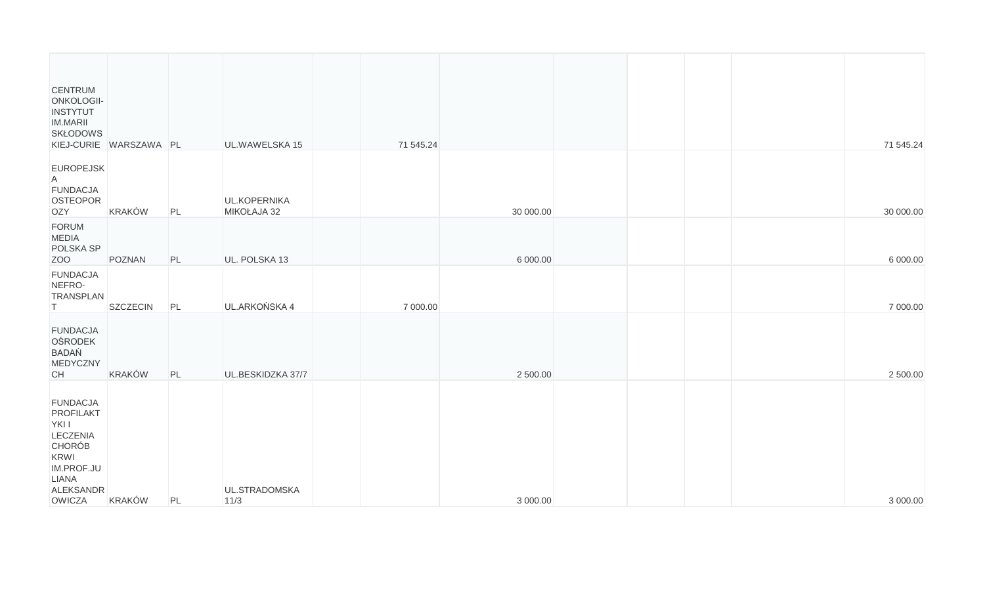| <b>CENTRUM</b><br>ONKOLOGII-<br><b>INSTYTUT</b><br>IM.MARII<br><b>SKŁODOWS</b>                                                         | KIEJ-CURIE WARSZAWA PL |    | UL.WAWELSKA 15              | 71 545.24 |           |  |  | 71 545.24 |
|----------------------------------------------------------------------------------------------------------------------------------------|------------------------|----|-----------------------------|-----------|-----------|--|--|-----------|
| <b>EUROPEJSK</b><br>$\mathsf{A}$<br><b>FUNDACJA</b><br>OSTEOPOR<br>OZY                                                                 | <b>KRAKÓW</b>          | PL | UL.KOPERNIKA<br>MIKOŁAJA 32 |           | 30 000.00 |  |  | 30 000.00 |
| FORUM<br><b>MEDIA</b><br>POLSKA SP<br>ZOO                                                                                              | POZNAN                 | PL | UL. POLSKA 13               |           | 6 000.00  |  |  | 6 000.00  |
| <b>FUNDACJA</b><br>NEFRO-<br><b>TRANSPLAN</b><br>T.                                                                                    | SZCZECIN               | PL | UL.ARKOŃSKA 4               | 7 000.00  |           |  |  | 7 000.00  |
| <b>FUNDACJA</b><br><b>OŚRODEK</b><br><b>BADAŃ</b><br>MEDYCZNY<br>CH                                                                    | <b>KRAKÓW</b>          | PL | UL.BESKIDZKA 37/7           |           | 2 500.00  |  |  | 2 500.00  |
| <b>FUNDACJA</b><br>PROFILAKT<br>YKI I<br><b>LECZENIA</b><br><b>CHORÓB</b><br>KRWI<br>IM.PROF.JU<br><b>LIANA</b><br>ALEKSANDR<br>OWICZA | <b>KRAKÓW</b>          | PL | UL.STRADOMSKA<br>$11/3$     |           | 3 000.00  |  |  | 3 000.00  |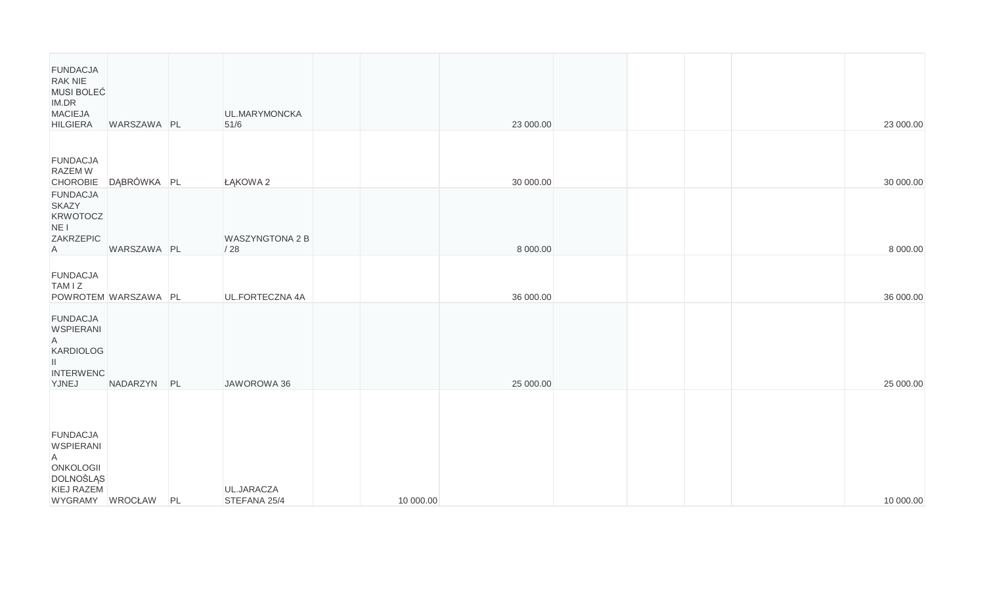| <b>FUNDACJA</b><br>RAK NIE<br>MUSI BOLEĆ<br>IM.DR<br><b>MACIEJA</b><br><b>HILGIERA</b>                     | WARSZAWA PL          |    | UL.MARYMONCKA<br>$51/6$    |           | 23 000.00 |  |  | 23 000.00 |
|------------------------------------------------------------------------------------------------------------|----------------------|----|----------------------------|-----------|-----------|--|--|-----------|
| <b>FUNDACJA</b><br>RAZEM W<br><b>CHOROBIE</b>                                                              | DĄBRÓWKA PL          |    | ŁĄKOWA 2                   |           | 30 000.00 |  |  | 30 000.00 |
| <b>FUNDACJA</b><br><b>SKAZY</b><br><b>KRWOTOCZ</b><br>NE I<br>ZAKRZEPIC<br>A                               | WARSZAWA PL          |    | WASZYNGTONA 2 B<br>/28     |           | 8 000.00  |  |  | 8 000.00  |
| <b>FUNDACJA</b><br>TAM I Z                                                                                 | POWROTEM WARSZAWA PL |    | UL.FORTECZNA 4A            |           | 36 000.00 |  |  | 36 000.00 |
| <b>FUNDACJA</b><br><b>WSPIERANI</b><br>$\mathsf{A}$<br>KARDIOLOG<br>Ш.<br><b>INTERWENC</b><br>YJNEJ        | NADARZYN PL          |    | JAWOROWA 36                |           | 25 000.00 |  |  | 25 000.00 |
| <b>FUNDACJA</b><br><b>WSPIERANI</b><br>A<br>ONKOLOGII<br><b>DOLNOŚLĄS</b><br>KIEJ RAZEM<br>WYGRAMY WROCŁAW |                      | PL | UL.JARACZA<br>STEFANA 25/4 | 10 000.00 |           |  |  | 10 000.00 |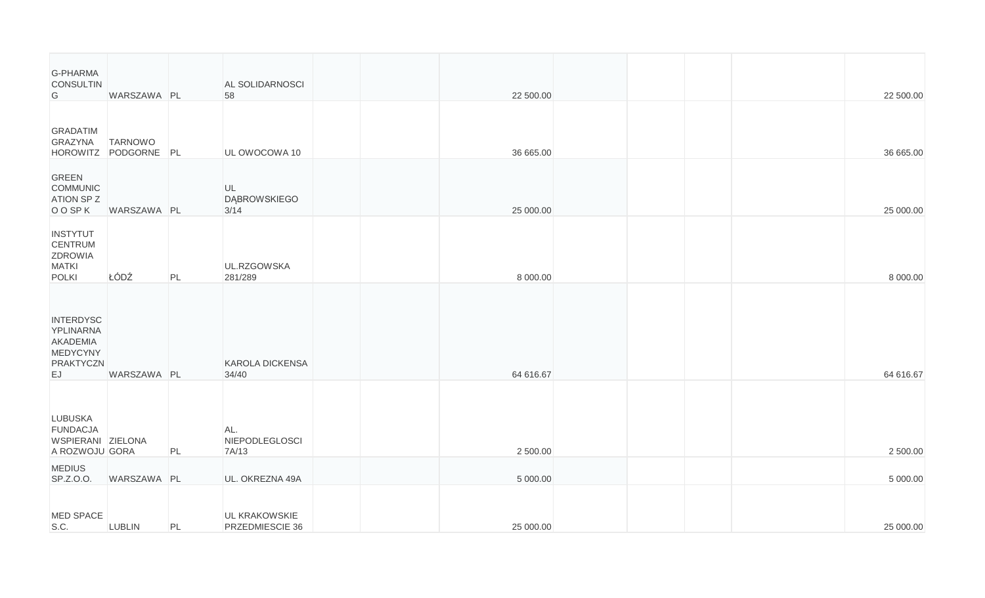| <b>G-PHARMA</b><br><b>CONSULTIN</b><br>G                                        | WARSZAWA PL                            |    | AL SOLIDARNOSCI<br>58                   |  | 22 500.00 |  |  | 22 500.00 |
|---------------------------------------------------------------------------------|----------------------------------------|----|-----------------------------------------|--|-----------|--|--|-----------|
| GRADATIM<br>GRAZYNA                                                             | <b>TARNOWO</b><br>HOROWITZ PODGORNE PL |    | UL OWOCOWA 10                           |  | 36 665.00 |  |  | 36 665.00 |
| <b>GREEN</b><br>COMMUNIC<br><b>ATION SPZ</b><br>O O SP K                        | WARSZAWA PL                            |    | UL<br><b>DABROWSKIEGO</b><br>3/14       |  | 25 000.00 |  |  | 25 000.00 |
| <b>INSTYTUT</b><br><b>CENTRUM</b><br>ZDROWIA<br><b>MATKI</b><br><b>POLKI</b>    | ŁÓDŹ                                   | PL | UL.RZGOWSKA<br>281/289                  |  | 8 000.00  |  |  | 8 000.00  |
| <b>INTERDYSC</b><br>YPLINARNA<br>AKADEMIA<br>MEDYCYNY<br><b>PRAKTYCZN</b><br>EJ | WARSZAWA PL                            |    | <b>KAROLA DICKENSA</b><br>34/40         |  | 64 616.67 |  |  | 64 616.67 |
| <b>LUBUSKA</b><br><b>FUNDACJA</b><br>WSPIERANI ZIELONA<br>A ROZWOJU GORA        |                                        | PL | AL.<br>NIEPODLEGLOSCI<br>7A/13          |  | 2 500.00  |  |  | 2 500.00  |
| <b>MEDIUS</b><br>SP.Z.O.O.                                                      | WARSZAWA PL                            |    | UL. OKREZNA 49A                         |  | 5 000.00  |  |  | 5 000.00  |
| <b>MED SPACE</b><br>S.C.                                                        | <b>LUBLIN</b>                          | PL | <b>UL KRAKOWSKIE</b><br>PRZEDMIESCIE 36 |  | 25 000.00 |  |  | 25 000.00 |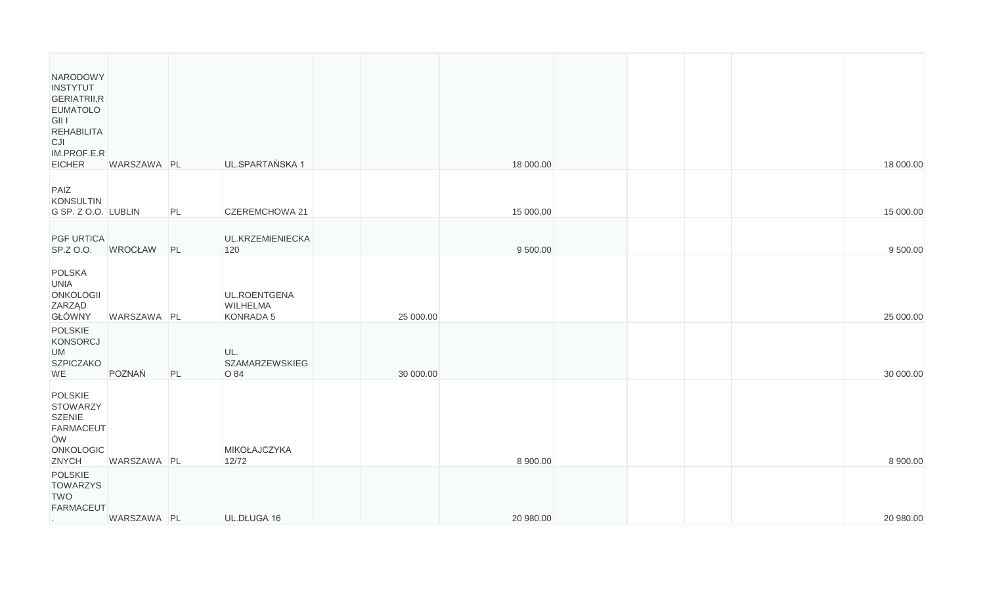| NARODOWY<br><b>INSTYTUT</b><br>GERIATRII, R<br><b>EUMATOLO</b><br>GII I<br><b>REHABILITA</b><br>CJI<br>IM.PROF.E.R<br>EICHER | WARSZAWA PL    |    | UL.SPARTAŃSKA 1                              |           | 18 000.00 |  |  | 18 000.00 |
|------------------------------------------------------------------------------------------------------------------------------|----------------|----|----------------------------------------------|-----------|-----------|--|--|-----------|
| PAIZ<br>KONSULTIN<br>G SP. Z O.O. LUBLIN                                                                                     |                | PL | CZEREMCHOWA 21                               |           | 15 000.00 |  |  | 15 000.00 |
| <b>PGF URTICA</b><br>SP.Z O.O.                                                                                               | <b>WROCŁAW</b> | PL | UL.KRZEMIENIECKA<br>120                      |           | 9 500.00  |  |  | 9 500.00  |
| POLSKA<br><b>UNIA</b><br>ONKOLOGII<br>ZARZĄD<br>GŁÓWNY                                                                       | WARSZAWA PL    |    | UL.ROENTGENA<br><b>WILHELMA</b><br>KONRADA 5 | 25 000.00 |           |  |  | 25 000.00 |
| POLSKIE<br>KONSORCJ<br><b>UM</b><br><b>SZPICZAKO</b><br>WE                                                                   | POZNAŃ         | PL | UL.<br><b>SZAMARZEWSKIEG</b><br>O 84         | 30 000.00 |           |  |  | 30 000.00 |
| <b>POLSKIE</b><br><b>STOWARZY</b><br><b>SZENIE</b><br><b>FARMACEUT</b><br>ÓW<br>ONKOLOGIC<br>ZNYCH                           | WARSZAWA PL    |    | MIKOŁAJCZYKA<br>12/72                        |           | 8 900.00  |  |  | 8 900.00  |
| <b>POLSKIE</b><br><b>TOWARZYS</b><br><b>TWO</b><br><b>FARMACEUT</b><br>$\sim$                                                | WARSZAWA PL    |    | UL.DŁUGA 16                                  |           | 20 980.00 |  |  | 20 980.00 |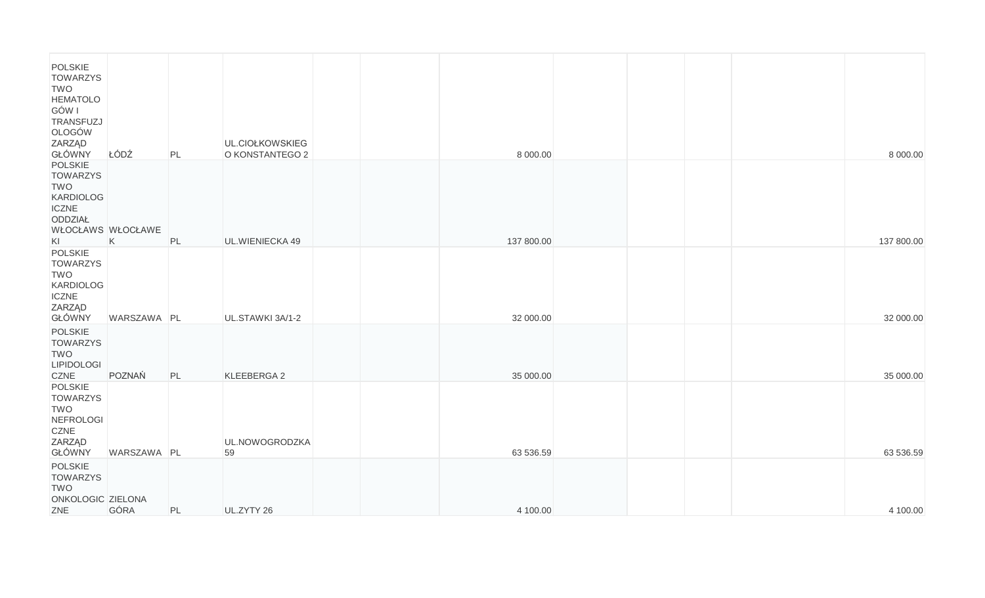| POLSKIE<br><b>TOWARZYS</b><br><b>TWO</b><br><b>HEMATOLO</b>                                                               |                       |    |                                    |  |                        |  |  |                        |
|---------------------------------------------------------------------------------------------------------------------------|-----------------------|----|------------------------------------|--|------------------------|--|--|------------------------|
| GÓW I<br>TRANSFUZJ<br>OLOGÓW<br>ZARZĄD<br>GŁÓWNY                                                                          | ŁÓDŹ                  | PL | UL.CIOŁKOWSKIEG<br>O KONSTANTEGO 2 |  | 8 000.00               |  |  | 8 000.00               |
| <b>POLSKIE</b><br><b>TOWARZYS</b><br><b>TWO</b><br><b>KARDIOLOG</b><br><b>ICZNE</b><br>ODDZIAŁ<br>WŁOCŁAWS WŁOCŁAWE<br>KI |                       | PL | UL.WIENIECKA 49                    |  | 137 800.00             |  |  | 137 800.00             |
| POLSKIE<br><b>TOWARZYS</b><br><b>TWO</b><br><b>KARDIOLOG</b><br><b>ICZNE</b><br><b>ZARZĄD</b>                             | K                     |    |                                    |  |                        |  |  |                        |
| GŁÓWNY<br>POLSKIE<br><b>TOWARZYS</b><br><b>TWO</b><br><b>LIPIDOLOGI</b><br><b>CZNE</b>                                    | WARSZAWA PL<br>POZNAŃ | PL | UL.STAWKI 3A/1-2<br>KLEEBERGA 2    |  | 32 000.00<br>35 000.00 |  |  | 32 000.00<br>35 000.00 |
| POLSKIE<br><b>TOWARZYS</b><br><b>TWO</b><br>NEFROLOGI<br>CZNE<br><b>ZARZĄD</b><br>GŁÓWNY                                  | WARSZAWA PL           |    | UL.NOWOGRODZKA<br>59               |  | 63 536.59              |  |  | 63 536.59              |
| POLSKIE<br><b>TOWARZYS</b><br><b>TWO</b><br>ONKOLOGIC ZIELONA<br>ZNE                                                      | GÓRA                  | PL | UL.ZYTY 26                         |  | 4 100.00               |  |  | 4 100.00               |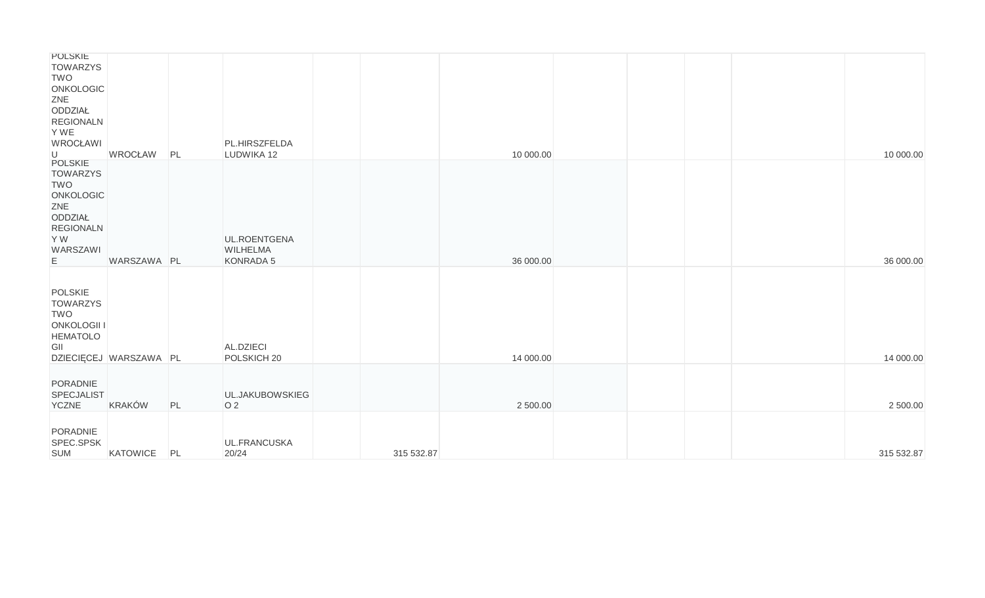| POLSKIE<br><b>TOWARZYS</b>        |                        |    |                        |            |           |  |  |            |
|-----------------------------------|------------------------|----|------------------------|------------|-----------|--|--|------------|
| <b>TWO</b>                        |                        |    |                        |            |           |  |  |            |
| <b>ONKOLOGIC</b>                  |                        |    |                        |            |           |  |  |            |
| ZNE                               |                        |    |                        |            |           |  |  |            |
| ODDZIAŁ<br><b>REGIONALN</b>       |                        |    |                        |            |           |  |  |            |
| Y WE                              |                        |    |                        |            |           |  |  |            |
| <b>WROCŁAWI</b>                   |                        |    | PL.HIRSZFELDA          |            |           |  |  |            |
| U                                 | <b>WROCŁAW</b>         | PL | LUDWIKA 12             |            | 10 000.00 |  |  | 10 000.00  |
| <b>POLSKIE</b><br><b>TOWARZYS</b> |                        |    |                        |            |           |  |  |            |
| <b>TWO</b>                        |                        |    |                        |            |           |  |  |            |
| <b>ONKOLOGIC</b>                  |                        |    |                        |            |           |  |  |            |
| ZNE                               |                        |    |                        |            |           |  |  |            |
| ODDZIAŁ                           |                        |    |                        |            |           |  |  |            |
| <b>REGIONALN</b><br>Y W           |                        |    | UL.ROENTGENA           |            |           |  |  |            |
| WARSZAWI                          |                        |    | <b>WILHELMA</b>        |            |           |  |  |            |
| E                                 | WARSZAWA PL            |    | KONRADA 5              |            | 36 000.00 |  |  | 36 000.00  |
|                                   |                        |    |                        |            |           |  |  |            |
| POLSKIE                           |                        |    |                        |            |           |  |  |            |
| <b>TOWARZYS</b>                   |                        |    |                        |            |           |  |  |            |
| <b>TWO</b>                        |                        |    |                        |            |           |  |  |            |
| <b>ONKOLOGII I</b>                |                        |    |                        |            |           |  |  |            |
| <b>HEMATOLO</b>                   |                        |    |                        |            |           |  |  |            |
| GII                               |                        |    | AL.DZIECI              |            |           |  |  |            |
|                                   | DZIECIĘCEJ WARSZAWA PL |    | POLSKICH <sub>20</sub> |            | 14 000.00 |  |  | 14 000.00  |
| PORADNIE                          |                        |    |                        |            |           |  |  |            |
| <b>SPECJALIST</b>                 |                        |    | UL.JAKUBOWSKIEG        |            |           |  |  |            |
| <b>YCZNE</b>                      | KRAKÓW                 | PL | O <sub>2</sub>         |            | 2 500.00  |  |  | 2 500.00   |
|                                   |                        |    |                        |            |           |  |  |            |
| PORADNIE                          |                        |    |                        |            |           |  |  |            |
| SPEC.SPSK                         |                        |    | UL.FRANCUSKA           |            |           |  |  |            |
| <b>SUM</b>                        | KATOWICE               | PL | 20/24                  | 315 532.87 |           |  |  | 315 532.87 |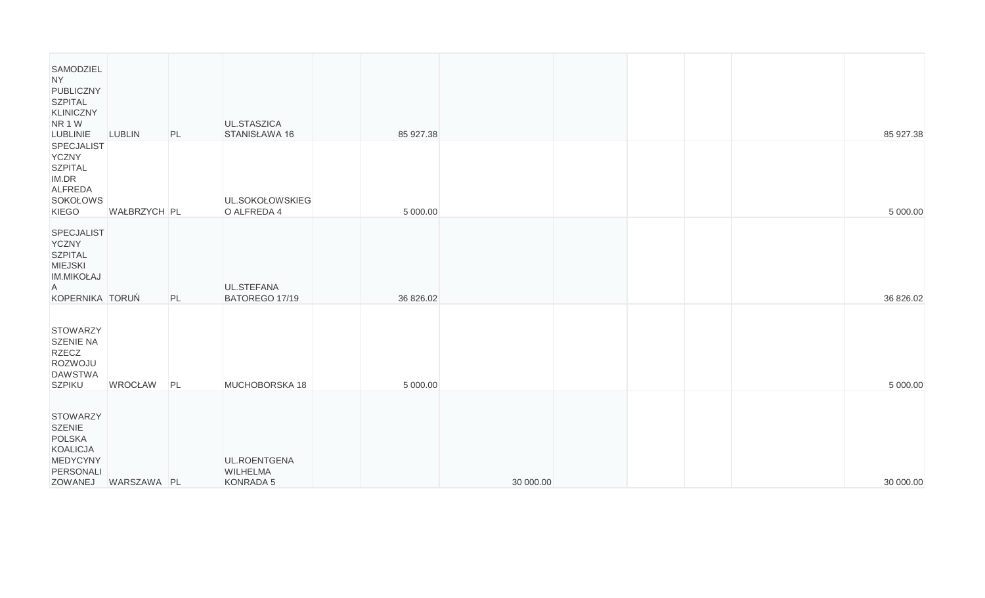| SAMODZIEL<br><b>NY</b><br>PUBLICZNY<br><b>SZPITAL</b><br><b>KLINICZNY</b><br>NR 1W<br><b>LUBLINIE</b>       | <b>LUBLIN</b>  | PL | UL.STASZICA<br>STANISŁAWA 16                 | 85 927.38 |           |  |  | 85 927.38 |
|-------------------------------------------------------------------------------------------------------------|----------------|----|----------------------------------------------|-----------|-----------|--|--|-----------|
| <b>SPECJALIST</b><br><b>YCZNY</b><br><b>SZPITAL</b><br>IM.DR<br>ALFREDA<br>SOKOŁOWS<br><b>KIEGO</b>         | WAŁBRZYCH PL   |    | UL.SOKOŁOWSKIEG<br>O ALFREDA 4               | 5 000.00  |           |  |  | 5 000.00  |
| SPECJALIST<br><b>YCZNY</b><br><b>SZPITAL</b><br><b>MIEJSKI</b><br><b>IM.MIKOŁAJ</b><br>A<br>KOPERNIKA TORUŃ |                | PL | UL.STEFANA<br>BATOREGO 17/19                 | 36 826.02 |           |  |  | 36 826.02 |
| <b>STOWARZY</b><br><b>SZENIE NA</b><br><b>RZECZ</b><br>ROZWOJU<br><b>DAWSTWA</b><br><b>SZPIKU</b>           | <b>WROCŁAW</b> | PL | MUCHOBORSKA 18                               | 5 000.00  |           |  |  | 5 000.00  |
| <b>STOWARZY</b><br><b>SZENIE</b><br><b>POLSKA</b><br><b>KOALICJA</b><br>MEDYCYNY<br>PERSONALI<br>ZOWANEJ    | WARSZAWA PL    |    | UL.ROENTGENA<br><b>WILHELMA</b><br>KONRADA 5 |           | 30 000.00 |  |  | 30 000.00 |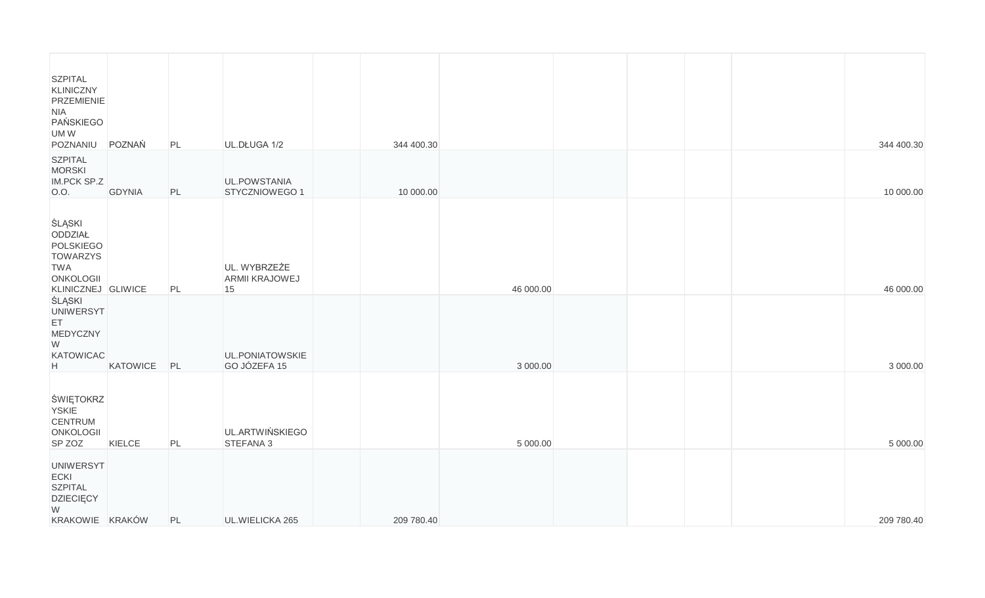| <b>SZPITAL</b><br>KLINICZNY<br>PRZEMIENIE<br><b>NIA</b><br>PAŃSKIEGO<br>UMW<br>POZNANIU                          | POZNAŃ        | PL | UL.DŁUGA 1/2                         | 344 400.30 |           |  |  | 344 400.30 |
|------------------------------------------------------------------------------------------------------------------|---------------|----|--------------------------------------|------------|-----------|--|--|------------|
| <b>SZPITAL</b><br><b>MORSKI</b><br>IM.PCK SP.Z<br>0.0.                                                           | <b>GDYNIA</b> | PL | UL.POWSTANIA<br>STYCZNIOWEGO 1       | 10 000.00  |           |  |  | 10 000.00  |
| <b>ŚLĄSKI</b><br>ODDZIAŁ<br>POLSKIEGO<br><b>TOWARZYS</b><br><b>TWA</b><br><b>ONKOLOGII</b><br>KLINICZNEJ GLIWICE |               | PL | UL. WYBRZEŻE<br>ARMII KRAJOWEJ<br>15 |            | 46 000.00 |  |  | 46 000.00  |
| <b>SLASKI</b><br><b>UNIWERSYT</b><br>ET<br>MEDYCZNY<br>W<br>KATOWICAC<br>H                                       | KATOWICE      | PL | UL.PONIATOWSKIE<br>GO JÓZEFA 15      |            | 3 000.00  |  |  | 3 000.00   |
| ŚWIĘTOKRZ<br><b>YSKIE</b><br><b>CENTRUM</b><br><b>ONKOLOGII</b><br>SP ZOZ                                        | KIELCE        | PL | UL.ARTWIŃSKIEGO<br>STEFANA 3         |            | 5 000.00  |  |  | 5 000.00   |
| <b>UNIWERSYT</b><br>ECKI<br><b>SZPITAL</b><br><b>DZIECIĘCY</b><br>W<br>KRAKOWIE KRAKÓW                           |               | PL | UL.WIELICKA 265                      | 209 780.40 |           |  |  | 209 780.40 |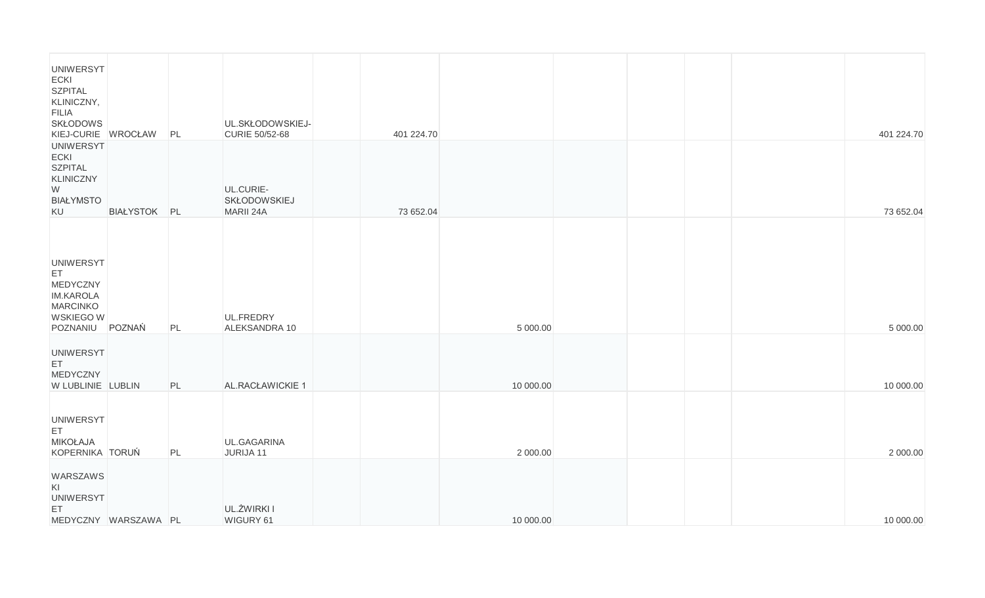| <b>UNIWERSYT</b><br><b>ECKI</b><br><b>SZPITAL</b><br>KLINICZNY,<br><b>FILIA</b><br><b>SKŁODOWS</b><br>KIEJ-CURIE WROCŁAW |                      | PL | UL.SKŁODOWSKIEJ-<br>CURIE 50/52-68     | 401 224.70 |           |  |  | 401 224.70 |
|--------------------------------------------------------------------------------------------------------------------------|----------------------|----|----------------------------------------|------------|-----------|--|--|------------|
| <b>UNIWERSYT</b><br><b>ECKI</b><br><b>SZPITAL</b><br><b>KLINICZNY</b><br>W<br><b>BIAŁYMSTO</b><br>KU                     | BIAŁYSTOK PL         |    | UL.CURIE-<br>SKŁODOWSKIEJ<br>MARII 24A | 73 652.04  |           |  |  | 73 652.04  |
| <b>UNIWERSYT</b><br>ET.<br>MEDYCZNY<br><b>IM.KAROLA</b><br><b>MARCINKO</b><br>WSKIEGO W<br>POZNANIU                      | POZNAŃ               | PL | UL.FREDRY<br>ALEKSANDRA 10             |            | 5 000.00  |  |  | 5 000.00   |
| <b>UNIWERSYT</b><br>ET<br>MEDYCZNY<br>W LUBLINIE LUBLIN                                                                  |                      | PL | AL.RACŁAWICKIE 1                       |            | 10 000.00 |  |  | 10 000.00  |
| <b>UNIWERSYT</b><br>ET.<br><b>MIKOŁAJA</b><br>KOPERNIKA TORUŃ                                                            |                      | PL | UL.GAGARINA<br>JURIJA 11               |            | 2 000.00  |  |  | 2 000.00   |
| WARSZAWS<br>KI<br><b>UNIWERSYT</b><br>ET                                                                                 | MEDYCZNY WARSZAWA PL |    | UL.ŻWIRKI I<br>WIGURY 61               |            | 10 000.00 |  |  | 10 000.00  |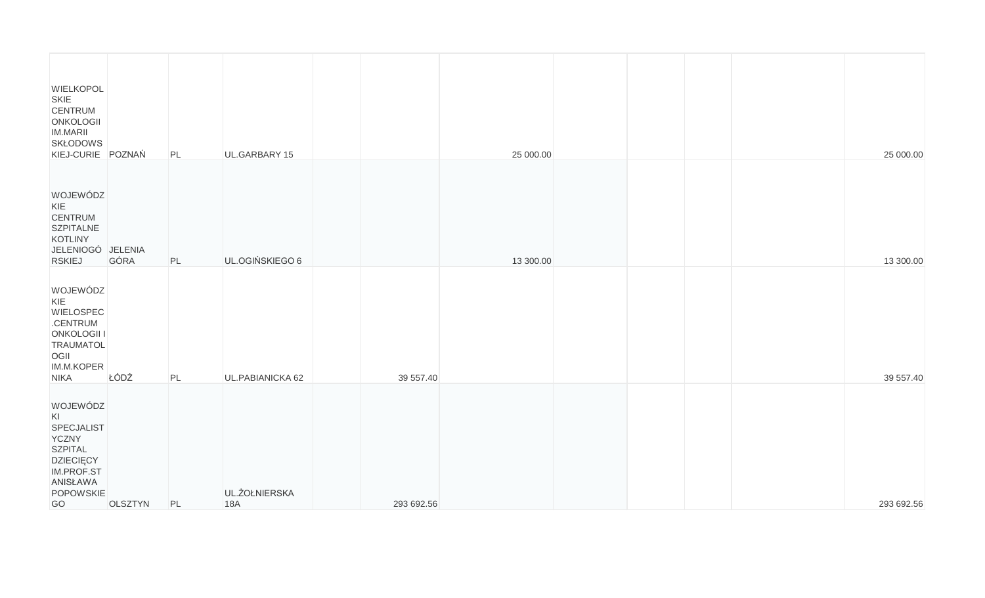| <b>WIELKOPOL</b><br>SKIE<br><b>CENTRUM</b><br>ONKOLOGII<br><b>IM.MARII</b><br><b>SKŁODOWS</b><br>KIEJ-CURIE POZNAŃ              |         | PL | UL.GARBARY 15               |            | 25 000.00 |  |  | 25 000.00  |
|---------------------------------------------------------------------------------------------------------------------------------|---------|----|-----------------------------|------------|-----------|--|--|------------|
| WOJEWÓDZ<br>KIE<br><b>CENTRUM</b><br><b>SZPITALNE</b><br><b>KOTLINY</b><br>JELENIOGÓ JELENIA<br><b>RSKIEJ</b>                   | GÓRA    | PL | UL.OGIŃSKIEGO 6             |            | 13 300.00 |  |  | 13 300.00  |
| WOJEWÓDZ<br>KIE<br><b>WIELOSPEC</b><br>.CENTRUM<br><b>ONKOLOGII I</b><br><b>TRAUMATOL</b><br>OGII<br>IM.M.KOPER<br><b>NIKA</b>  | ŁÓDŹ    | PL | UL.PABIANICKA 62            | 39 557.40  |           |  |  | 39 557.40  |
| WOJEWÓDZ<br>KI<br>SPECJALIST<br><b>YCZNY</b><br><b>SZPITAL</b><br><b>DZIECIĘCY</b><br>IM.PROF.ST<br>ANISŁAWA<br>POPOWSKIE<br>GO | OLSZTYN | PL | UL.ŻOŁNIERSKA<br><b>18A</b> | 293 692.56 |           |  |  | 293 692.56 |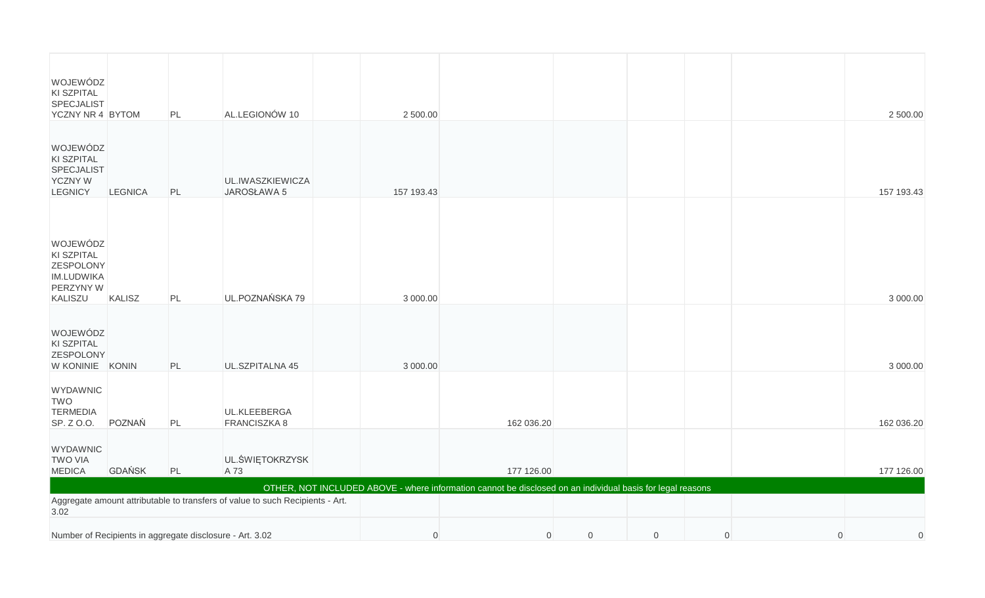| WOJEWÓDZ<br>KI SZPITAL<br>SPECJALIST<br>YCZNY NR 4 BYTOM                              |                | PL | AL.LEGIONÓW 10                  | 2 500.00                                                                                                   |                |             |             |                |                | 2 500.00       |
|---------------------------------------------------------------------------------------|----------------|----|---------------------------------|------------------------------------------------------------------------------------------------------------|----------------|-------------|-------------|----------------|----------------|----------------|
| WOJEWÓDZ<br>KI SZPITAL<br>SPECJALIST<br><b>YCZNY W</b><br><b>LEGNICY</b>              | <b>LEGNICA</b> | PL | UL.IWASZKIEWICZA<br>JAROSŁAWA 5 | 157 193.43                                                                                                 |                |             |             |                |                | 157 193.43     |
| WOJEWÓDZ<br>KI SZPITAL<br>ZESPOLONY<br>IM.LUDWIKA<br>PERZYNY W<br>KALISZU             | KALISZ         | PL | UL.POZNAŃSKA 79                 | 3 000.00                                                                                                   |                |             |             |                |                | 3 000.00       |
| WOJEWÓDZ<br>KI SZPITAL<br><b>ZESPOLONY</b><br>W KONINIE KONIN                         |                | PL | UL.SZPITALNA 45                 | 3 000.00                                                                                                   |                |             |             |                |                | 3 000.00       |
| <b>WYDAWNIC</b><br><b>TWO</b><br><b>TERMEDIA</b><br>SP. Z O.O.                        | POZNAŃ         | PL | UL.KLEEBERGA<br>FRANCISZKA 8    |                                                                                                            | 162 036.20     |             |             |                |                | 162 036.20     |
| <b>WYDAWNIC</b><br><b>TWO VIA</b><br><b>MEDICA</b>                                    | <b>GDAŃSK</b>  | PL | UL.ŚWIĘTOKRZYSK<br>A 73         |                                                                                                            | 177 126.00     |             |             |                |                | 177 126.00     |
|                                                                                       |                |    |                                 | OTHER, NOT INCLUDED ABOVE - where information cannot be disclosed on an individual basis for legal reasons |                |             |             |                |                |                |
| Aggregate amount attributable to transfers of value to such Recipients - Art.<br>3.02 |                |    |                                 |                                                                                                            |                |             |             |                |                |                |
| Number of Recipients in aggregate disclosure - Art. 3.02                              |                |    |                                 | $\overline{0}$                                                                                             | $\overline{0}$ | $\mathbf 0$ | $\mathbf 0$ | $\overline{0}$ | $\overline{0}$ | $\overline{0}$ |